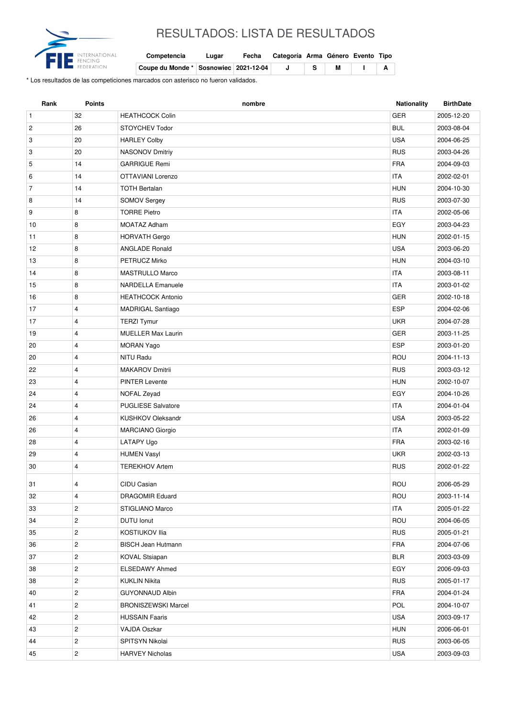

## RESULTADOS: LISTA DE RESULTADOS

| Competencia                             | Lugar | Fecha | Categoría Arma Género Evento Tipo |   |  |
|-----------------------------------------|-------|-------|-----------------------------------|---|--|
| Coupe du Monde * Sosnowiec   2021-12-04 |       |       |                                   | М |  |

\* Los resultados de las competiciones marcados con asterisco no fueron validados.

| <b>GER</b><br>$\mathbf{1}$<br>32<br><b>HEATHCOCK Colin</b><br>2005-12-20<br>26<br><b>BUL</b><br>$\overline{c}$<br>STOYCHEV Todor<br>2003-08-04<br><b>USA</b><br>3<br>20<br><b>HARLEY Colby</b><br>2004-06-25<br><b>RUS</b><br>3<br>20<br>NASONOV Dmitriy<br>2003-04-26<br>14<br><b>FRA</b><br>5<br><b>GARRIGUE Remi</b><br>2004-09-03<br>14<br>OTTAVIANI Lorenzo<br><b>ITA</b><br>2002-02-01<br>6<br><b>HUN</b><br>$\overline{7}$<br>14<br><b>TOTH Bertalan</b><br>2004-10-30<br>14<br><b>RUS</b><br>8<br><b>SOMOV Sergey</b><br>2003-07-30<br><b>TORRE Pietro</b><br><b>ITA</b><br>9<br>8<br>2002-05-06<br>8<br>EGY<br>10<br>MOATAZ Adham<br>2003-04-23<br>8<br><b>HUN</b><br>11<br><b>HORVATH Gergo</b><br>2002-01-15<br><b>USA</b><br>12<br>8<br><b>ANGLADE Ronald</b><br>2003-06-20<br>13<br>8<br>PETRUCZ Mirko<br><b>HUN</b><br>2004-03-10<br>8<br><b>ITA</b><br>14<br><b>MASTRULLO Marco</b><br>2003-08-11<br><b>ITA</b><br>8<br><b>NARDELLA Emanuele</b><br>15<br>2003-01-02<br>8<br><b>GER</b><br>16<br><b>HEATHCOCK Antonio</b><br>2002-10-18<br><b>ESP</b><br>17<br>4<br><b>MADRIGAL Santiago</b><br>2004-02-06<br>$\overline{4}$<br><b>UKR</b><br>17<br><b>TERZI Tymur</b><br>2004-07-28<br>19<br>$\overline{4}$<br><b>MUELLER Max Laurin</b><br>GER<br>2003-11-25<br><b>ESP</b><br>2003-01-20<br>20<br>4<br><b>MORAN Yago</b><br>ROU<br>20<br>$\overline{4}$<br>NITU Radu<br>2004-11-13<br>4<br><b>MAKAROV Dmitrii</b><br><b>RUS</b><br>22<br>2003-03-12<br><b>PINTER Levente</b><br><b>HUN</b><br>23<br>4<br>2002-10-07<br>EGY<br>24<br>4<br>NOFAL Zeyad<br>2004-10-26<br>$\overline{4}$<br><b>PUGLIESE Salvatore</b><br><b>ITA</b><br>24<br>2004-01-04<br><b>USA</b><br>4<br>KUSHKOV Oleksandr<br>26<br>2003-05-22<br>$\overline{4}$<br><b>ITA</b><br>26<br><b>MARCIANO Giorgio</b><br>2002-01-09<br><b>FRA</b><br>28<br>$\overline{4}$<br>LATAPY Ugo<br>2003-02-16<br>29<br>$\overline{4}$<br><b>UKR</b><br><b>HUMEN Vasyl</b><br>2002-03-13<br>30<br>4<br><b>TEREKHOV Artem</b><br><b>RUS</b><br>2002-01-22<br><b>ROU</b><br>CIDU Casian<br>31<br>4<br>2006-05-29<br>ROU<br>4<br>32<br><b>DRAGOMIR Eduard</b><br>2003-11-14<br>33<br>$\overline{c}$<br><b>ITA</b><br>STIGLIANO Marco<br>2005-01-22<br>ROU<br>$\overline{c}$<br><b>DUTU</b> lonut<br>34<br>2004-06-05<br>$\overline{c}$<br><b>RUS</b><br>35<br>KOSTIUKOV Ilia<br>2005-01-21<br>$\overline{c}$<br><b>FRA</b><br>36<br><b>BISCH Jean Hutmann</b><br>2004-07-06<br>$\overline{c}$<br><b>BLR</b><br>37<br><b>KOVAL Stsiapan</b><br>2003-03-09<br>$\overline{c}$<br>EGY<br>38<br>ELSEDAWY Ahmed<br>2006-09-03<br>$\overline{2}$<br><b>RUS</b><br>38<br><b>KUKLIN Nikita</b><br>2005-01-17<br>$\overline{c}$<br><b>FRA</b><br>40<br><b>GUYONNAUD Albin</b><br>2004-01-24<br>POL<br>$\overline{c}$<br>41<br><b>BRONISZEWSKI Marcel</b><br>2004-10-07<br>$\overline{c}$<br><b>USA</b><br>42<br><b>HUSSAIN Faaris</b><br>2003-09-17<br>$\overline{c}$<br><b>HUN</b><br>43<br>VAJDA Oszkar<br>2006-06-01<br>$\overline{c}$<br><b>RUS</b><br>44<br>SPITSYN Nikolai<br>2003-06-05 | Rank | <b>Points</b>           | nombre                 | <b>Nationality</b> | <b>BirthDate</b> |
|------------------------------------------------------------------------------------------------------------------------------------------------------------------------------------------------------------------------------------------------------------------------------------------------------------------------------------------------------------------------------------------------------------------------------------------------------------------------------------------------------------------------------------------------------------------------------------------------------------------------------------------------------------------------------------------------------------------------------------------------------------------------------------------------------------------------------------------------------------------------------------------------------------------------------------------------------------------------------------------------------------------------------------------------------------------------------------------------------------------------------------------------------------------------------------------------------------------------------------------------------------------------------------------------------------------------------------------------------------------------------------------------------------------------------------------------------------------------------------------------------------------------------------------------------------------------------------------------------------------------------------------------------------------------------------------------------------------------------------------------------------------------------------------------------------------------------------------------------------------------------------------------------------------------------------------------------------------------------------------------------------------------------------------------------------------------------------------------------------------------------------------------------------------------------------------------------------------------------------------------------------------------------------------------------------------------------------------------------------------------------------------------------------------------------------------------------------------------------------------------------------------------------------------------------------------------------------------------------------------------------------------------------------------------------------------------------------------------------------------------------------------------------------------------------------------------------------------------------------------------------------------------------------------------------------------------------------------------------------------------------------------------------------------------------|------|-------------------------|------------------------|--------------------|------------------|
|                                                                                                                                                                                                                                                                                                                                                                                                                                                                                                                                                                                                                                                                                                                                                                                                                                                                                                                                                                                                                                                                                                                                                                                                                                                                                                                                                                                                                                                                                                                                                                                                                                                                                                                                                                                                                                                                                                                                                                                                                                                                                                                                                                                                                                                                                                                                                                                                                                                                                                                                                                                                                                                                                                                                                                                                                                                                                                                                                                                                                                                      |      |                         |                        |                    |                  |
|                                                                                                                                                                                                                                                                                                                                                                                                                                                                                                                                                                                                                                                                                                                                                                                                                                                                                                                                                                                                                                                                                                                                                                                                                                                                                                                                                                                                                                                                                                                                                                                                                                                                                                                                                                                                                                                                                                                                                                                                                                                                                                                                                                                                                                                                                                                                                                                                                                                                                                                                                                                                                                                                                                                                                                                                                                                                                                                                                                                                                                                      |      |                         |                        |                    |                  |
|                                                                                                                                                                                                                                                                                                                                                                                                                                                                                                                                                                                                                                                                                                                                                                                                                                                                                                                                                                                                                                                                                                                                                                                                                                                                                                                                                                                                                                                                                                                                                                                                                                                                                                                                                                                                                                                                                                                                                                                                                                                                                                                                                                                                                                                                                                                                                                                                                                                                                                                                                                                                                                                                                                                                                                                                                                                                                                                                                                                                                                                      |      |                         |                        |                    |                  |
|                                                                                                                                                                                                                                                                                                                                                                                                                                                                                                                                                                                                                                                                                                                                                                                                                                                                                                                                                                                                                                                                                                                                                                                                                                                                                                                                                                                                                                                                                                                                                                                                                                                                                                                                                                                                                                                                                                                                                                                                                                                                                                                                                                                                                                                                                                                                                                                                                                                                                                                                                                                                                                                                                                                                                                                                                                                                                                                                                                                                                                                      |      |                         |                        |                    |                  |
|                                                                                                                                                                                                                                                                                                                                                                                                                                                                                                                                                                                                                                                                                                                                                                                                                                                                                                                                                                                                                                                                                                                                                                                                                                                                                                                                                                                                                                                                                                                                                                                                                                                                                                                                                                                                                                                                                                                                                                                                                                                                                                                                                                                                                                                                                                                                                                                                                                                                                                                                                                                                                                                                                                                                                                                                                                                                                                                                                                                                                                                      |      |                         |                        |                    |                  |
|                                                                                                                                                                                                                                                                                                                                                                                                                                                                                                                                                                                                                                                                                                                                                                                                                                                                                                                                                                                                                                                                                                                                                                                                                                                                                                                                                                                                                                                                                                                                                                                                                                                                                                                                                                                                                                                                                                                                                                                                                                                                                                                                                                                                                                                                                                                                                                                                                                                                                                                                                                                                                                                                                                                                                                                                                                                                                                                                                                                                                                                      |      |                         |                        |                    |                  |
|                                                                                                                                                                                                                                                                                                                                                                                                                                                                                                                                                                                                                                                                                                                                                                                                                                                                                                                                                                                                                                                                                                                                                                                                                                                                                                                                                                                                                                                                                                                                                                                                                                                                                                                                                                                                                                                                                                                                                                                                                                                                                                                                                                                                                                                                                                                                                                                                                                                                                                                                                                                                                                                                                                                                                                                                                                                                                                                                                                                                                                                      |      |                         |                        |                    |                  |
|                                                                                                                                                                                                                                                                                                                                                                                                                                                                                                                                                                                                                                                                                                                                                                                                                                                                                                                                                                                                                                                                                                                                                                                                                                                                                                                                                                                                                                                                                                                                                                                                                                                                                                                                                                                                                                                                                                                                                                                                                                                                                                                                                                                                                                                                                                                                                                                                                                                                                                                                                                                                                                                                                                                                                                                                                                                                                                                                                                                                                                                      |      |                         |                        |                    |                  |
|                                                                                                                                                                                                                                                                                                                                                                                                                                                                                                                                                                                                                                                                                                                                                                                                                                                                                                                                                                                                                                                                                                                                                                                                                                                                                                                                                                                                                                                                                                                                                                                                                                                                                                                                                                                                                                                                                                                                                                                                                                                                                                                                                                                                                                                                                                                                                                                                                                                                                                                                                                                                                                                                                                                                                                                                                                                                                                                                                                                                                                                      |      |                         |                        |                    |                  |
|                                                                                                                                                                                                                                                                                                                                                                                                                                                                                                                                                                                                                                                                                                                                                                                                                                                                                                                                                                                                                                                                                                                                                                                                                                                                                                                                                                                                                                                                                                                                                                                                                                                                                                                                                                                                                                                                                                                                                                                                                                                                                                                                                                                                                                                                                                                                                                                                                                                                                                                                                                                                                                                                                                                                                                                                                                                                                                                                                                                                                                                      |      |                         |                        |                    |                  |
|                                                                                                                                                                                                                                                                                                                                                                                                                                                                                                                                                                                                                                                                                                                                                                                                                                                                                                                                                                                                                                                                                                                                                                                                                                                                                                                                                                                                                                                                                                                                                                                                                                                                                                                                                                                                                                                                                                                                                                                                                                                                                                                                                                                                                                                                                                                                                                                                                                                                                                                                                                                                                                                                                                                                                                                                                                                                                                                                                                                                                                                      |      |                         |                        |                    |                  |
|                                                                                                                                                                                                                                                                                                                                                                                                                                                                                                                                                                                                                                                                                                                                                                                                                                                                                                                                                                                                                                                                                                                                                                                                                                                                                                                                                                                                                                                                                                                                                                                                                                                                                                                                                                                                                                                                                                                                                                                                                                                                                                                                                                                                                                                                                                                                                                                                                                                                                                                                                                                                                                                                                                                                                                                                                                                                                                                                                                                                                                                      |      |                         |                        |                    |                  |
|                                                                                                                                                                                                                                                                                                                                                                                                                                                                                                                                                                                                                                                                                                                                                                                                                                                                                                                                                                                                                                                                                                                                                                                                                                                                                                                                                                                                                                                                                                                                                                                                                                                                                                                                                                                                                                                                                                                                                                                                                                                                                                                                                                                                                                                                                                                                                                                                                                                                                                                                                                                                                                                                                                                                                                                                                                                                                                                                                                                                                                                      |      |                         |                        |                    |                  |
|                                                                                                                                                                                                                                                                                                                                                                                                                                                                                                                                                                                                                                                                                                                                                                                                                                                                                                                                                                                                                                                                                                                                                                                                                                                                                                                                                                                                                                                                                                                                                                                                                                                                                                                                                                                                                                                                                                                                                                                                                                                                                                                                                                                                                                                                                                                                                                                                                                                                                                                                                                                                                                                                                                                                                                                                                                                                                                                                                                                                                                                      |      |                         |                        |                    |                  |
|                                                                                                                                                                                                                                                                                                                                                                                                                                                                                                                                                                                                                                                                                                                                                                                                                                                                                                                                                                                                                                                                                                                                                                                                                                                                                                                                                                                                                                                                                                                                                                                                                                                                                                                                                                                                                                                                                                                                                                                                                                                                                                                                                                                                                                                                                                                                                                                                                                                                                                                                                                                                                                                                                                                                                                                                                                                                                                                                                                                                                                                      |      |                         |                        |                    |                  |
|                                                                                                                                                                                                                                                                                                                                                                                                                                                                                                                                                                                                                                                                                                                                                                                                                                                                                                                                                                                                                                                                                                                                                                                                                                                                                                                                                                                                                                                                                                                                                                                                                                                                                                                                                                                                                                                                                                                                                                                                                                                                                                                                                                                                                                                                                                                                                                                                                                                                                                                                                                                                                                                                                                                                                                                                                                                                                                                                                                                                                                                      |      |                         |                        |                    |                  |
|                                                                                                                                                                                                                                                                                                                                                                                                                                                                                                                                                                                                                                                                                                                                                                                                                                                                                                                                                                                                                                                                                                                                                                                                                                                                                                                                                                                                                                                                                                                                                                                                                                                                                                                                                                                                                                                                                                                                                                                                                                                                                                                                                                                                                                                                                                                                                                                                                                                                                                                                                                                                                                                                                                                                                                                                                                                                                                                                                                                                                                                      |      |                         |                        |                    |                  |
|                                                                                                                                                                                                                                                                                                                                                                                                                                                                                                                                                                                                                                                                                                                                                                                                                                                                                                                                                                                                                                                                                                                                                                                                                                                                                                                                                                                                                                                                                                                                                                                                                                                                                                                                                                                                                                                                                                                                                                                                                                                                                                                                                                                                                                                                                                                                                                                                                                                                                                                                                                                                                                                                                                                                                                                                                                                                                                                                                                                                                                                      |      |                         |                        |                    |                  |
|                                                                                                                                                                                                                                                                                                                                                                                                                                                                                                                                                                                                                                                                                                                                                                                                                                                                                                                                                                                                                                                                                                                                                                                                                                                                                                                                                                                                                                                                                                                                                                                                                                                                                                                                                                                                                                                                                                                                                                                                                                                                                                                                                                                                                                                                                                                                                                                                                                                                                                                                                                                                                                                                                                                                                                                                                                                                                                                                                                                                                                                      |      |                         |                        |                    |                  |
|                                                                                                                                                                                                                                                                                                                                                                                                                                                                                                                                                                                                                                                                                                                                                                                                                                                                                                                                                                                                                                                                                                                                                                                                                                                                                                                                                                                                                                                                                                                                                                                                                                                                                                                                                                                                                                                                                                                                                                                                                                                                                                                                                                                                                                                                                                                                                                                                                                                                                                                                                                                                                                                                                                                                                                                                                                                                                                                                                                                                                                                      |      |                         |                        |                    |                  |
|                                                                                                                                                                                                                                                                                                                                                                                                                                                                                                                                                                                                                                                                                                                                                                                                                                                                                                                                                                                                                                                                                                                                                                                                                                                                                                                                                                                                                                                                                                                                                                                                                                                                                                                                                                                                                                                                                                                                                                                                                                                                                                                                                                                                                                                                                                                                                                                                                                                                                                                                                                                                                                                                                                                                                                                                                                                                                                                                                                                                                                                      |      |                         |                        |                    |                  |
|                                                                                                                                                                                                                                                                                                                                                                                                                                                                                                                                                                                                                                                                                                                                                                                                                                                                                                                                                                                                                                                                                                                                                                                                                                                                                                                                                                                                                                                                                                                                                                                                                                                                                                                                                                                                                                                                                                                                                                                                                                                                                                                                                                                                                                                                                                                                                                                                                                                                                                                                                                                                                                                                                                                                                                                                                                                                                                                                                                                                                                                      |      |                         |                        |                    |                  |
|                                                                                                                                                                                                                                                                                                                                                                                                                                                                                                                                                                                                                                                                                                                                                                                                                                                                                                                                                                                                                                                                                                                                                                                                                                                                                                                                                                                                                                                                                                                                                                                                                                                                                                                                                                                                                                                                                                                                                                                                                                                                                                                                                                                                                                                                                                                                                                                                                                                                                                                                                                                                                                                                                                                                                                                                                                                                                                                                                                                                                                                      |      |                         |                        |                    |                  |
|                                                                                                                                                                                                                                                                                                                                                                                                                                                                                                                                                                                                                                                                                                                                                                                                                                                                                                                                                                                                                                                                                                                                                                                                                                                                                                                                                                                                                                                                                                                                                                                                                                                                                                                                                                                                                                                                                                                                                                                                                                                                                                                                                                                                                                                                                                                                                                                                                                                                                                                                                                                                                                                                                                                                                                                                                                                                                                                                                                                                                                                      |      |                         |                        |                    |                  |
|                                                                                                                                                                                                                                                                                                                                                                                                                                                                                                                                                                                                                                                                                                                                                                                                                                                                                                                                                                                                                                                                                                                                                                                                                                                                                                                                                                                                                                                                                                                                                                                                                                                                                                                                                                                                                                                                                                                                                                                                                                                                                                                                                                                                                                                                                                                                                                                                                                                                                                                                                                                                                                                                                                                                                                                                                                                                                                                                                                                                                                                      |      |                         |                        |                    |                  |
|                                                                                                                                                                                                                                                                                                                                                                                                                                                                                                                                                                                                                                                                                                                                                                                                                                                                                                                                                                                                                                                                                                                                                                                                                                                                                                                                                                                                                                                                                                                                                                                                                                                                                                                                                                                                                                                                                                                                                                                                                                                                                                                                                                                                                                                                                                                                                                                                                                                                                                                                                                                                                                                                                                                                                                                                                                                                                                                                                                                                                                                      |      |                         |                        |                    |                  |
|                                                                                                                                                                                                                                                                                                                                                                                                                                                                                                                                                                                                                                                                                                                                                                                                                                                                                                                                                                                                                                                                                                                                                                                                                                                                                                                                                                                                                                                                                                                                                                                                                                                                                                                                                                                                                                                                                                                                                                                                                                                                                                                                                                                                                                                                                                                                                                                                                                                                                                                                                                                                                                                                                                                                                                                                                                                                                                                                                                                                                                                      |      |                         |                        |                    |                  |
|                                                                                                                                                                                                                                                                                                                                                                                                                                                                                                                                                                                                                                                                                                                                                                                                                                                                                                                                                                                                                                                                                                                                                                                                                                                                                                                                                                                                                                                                                                                                                                                                                                                                                                                                                                                                                                                                                                                                                                                                                                                                                                                                                                                                                                                                                                                                                                                                                                                                                                                                                                                                                                                                                                                                                                                                                                                                                                                                                                                                                                                      |      |                         |                        |                    |                  |
|                                                                                                                                                                                                                                                                                                                                                                                                                                                                                                                                                                                                                                                                                                                                                                                                                                                                                                                                                                                                                                                                                                                                                                                                                                                                                                                                                                                                                                                                                                                                                                                                                                                                                                                                                                                                                                                                                                                                                                                                                                                                                                                                                                                                                                                                                                                                                                                                                                                                                                                                                                                                                                                                                                                                                                                                                                                                                                                                                                                                                                                      |      |                         |                        |                    |                  |
|                                                                                                                                                                                                                                                                                                                                                                                                                                                                                                                                                                                                                                                                                                                                                                                                                                                                                                                                                                                                                                                                                                                                                                                                                                                                                                                                                                                                                                                                                                                                                                                                                                                                                                                                                                                                                                                                                                                                                                                                                                                                                                                                                                                                                                                                                                                                                                                                                                                                                                                                                                                                                                                                                                                                                                                                                                                                                                                                                                                                                                                      |      |                         |                        |                    |                  |
|                                                                                                                                                                                                                                                                                                                                                                                                                                                                                                                                                                                                                                                                                                                                                                                                                                                                                                                                                                                                                                                                                                                                                                                                                                                                                                                                                                                                                                                                                                                                                                                                                                                                                                                                                                                                                                                                                                                                                                                                                                                                                                                                                                                                                                                                                                                                                                                                                                                                                                                                                                                                                                                                                                                                                                                                                                                                                                                                                                                                                                                      |      |                         |                        |                    |                  |
|                                                                                                                                                                                                                                                                                                                                                                                                                                                                                                                                                                                                                                                                                                                                                                                                                                                                                                                                                                                                                                                                                                                                                                                                                                                                                                                                                                                                                                                                                                                                                                                                                                                                                                                                                                                                                                                                                                                                                                                                                                                                                                                                                                                                                                                                                                                                                                                                                                                                                                                                                                                                                                                                                                                                                                                                                                                                                                                                                                                                                                                      |      |                         |                        |                    |                  |
|                                                                                                                                                                                                                                                                                                                                                                                                                                                                                                                                                                                                                                                                                                                                                                                                                                                                                                                                                                                                                                                                                                                                                                                                                                                                                                                                                                                                                                                                                                                                                                                                                                                                                                                                                                                                                                                                                                                                                                                                                                                                                                                                                                                                                                                                                                                                                                                                                                                                                                                                                                                                                                                                                                                                                                                                                                                                                                                                                                                                                                                      |      |                         |                        |                    |                  |
|                                                                                                                                                                                                                                                                                                                                                                                                                                                                                                                                                                                                                                                                                                                                                                                                                                                                                                                                                                                                                                                                                                                                                                                                                                                                                                                                                                                                                                                                                                                                                                                                                                                                                                                                                                                                                                                                                                                                                                                                                                                                                                                                                                                                                                                                                                                                                                                                                                                                                                                                                                                                                                                                                                                                                                                                                                                                                                                                                                                                                                                      |      |                         |                        |                    |                  |
|                                                                                                                                                                                                                                                                                                                                                                                                                                                                                                                                                                                                                                                                                                                                                                                                                                                                                                                                                                                                                                                                                                                                                                                                                                                                                                                                                                                                                                                                                                                                                                                                                                                                                                                                                                                                                                                                                                                                                                                                                                                                                                                                                                                                                                                                                                                                                                                                                                                                                                                                                                                                                                                                                                                                                                                                                                                                                                                                                                                                                                                      |      |                         |                        |                    |                  |
|                                                                                                                                                                                                                                                                                                                                                                                                                                                                                                                                                                                                                                                                                                                                                                                                                                                                                                                                                                                                                                                                                                                                                                                                                                                                                                                                                                                                                                                                                                                                                                                                                                                                                                                                                                                                                                                                                                                                                                                                                                                                                                                                                                                                                                                                                                                                                                                                                                                                                                                                                                                                                                                                                                                                                                                                                                                                                                                                                                                                                                                      |      |                         |                        |                    |                  |
|                                                                                                                                                                                                                                                                                                                                                                                                                                                                                                                                                                                                                                                                                                                                                                                                                                                                                                                                                                                                                                                                                                                                                                                                                                                                                                                                                                                                                                                                                                                                                                                                                                                                                                                                                                                                                                                                                                                                                                                                                                                                                                                                                                                                                                                                                                                                                                                                                                                                                                                                                                                                                                                                                                                                                                                                                                                                                                                                                                                                                                                      |      |                         |                        |                    |                  |
|                                                                                                                                                                                                                                                                                                                                                                                                                                                                                                                                                                                                                                                                                                                                                                                                                                                                                                                                                                                                                                                                                                                                                                                                                                                                                                                                                                                                                                                                                                                                                                                                                                                                                                                                                                                                                                                                                                                                                                                                                                                                                                                                                                                                                                                                                                                                                                                                                                                                                                                                                                                                                                                                                                                                                                                                                                                                                                                                                                                                                                                      |      |                         |                        |                    |                  |
|                                                                                                                                                                                                                                                                                                                                                                                                                                                                                                                                                                                                                                                                                                                                                                                                                                                                                                                                                                                                                                                                                                                                                                                                                                                                                                                                                                                                                                                                                                                                                                                                                                                                                                                                                                                                                                                                                                                                                                                                                                                                                                                                                                                                                                                                                                                                                                                                                                                                                                                                                                                                                                                                                                                                                                                                                                                                                                                                                                                                                                                      |      |                         |                        |                    |                  |
|                                                                                                                                                                                                                                                                                                                                                                                                                                                                                                                                                                                                                                                                                                                                                                                                                                                                                                                                                                                                                                                                                                                                                                                                                                                                                                                                                                                                                                                                                                                                                                                                                                                                                                                                                                                                                                                                                                                                                                                                                                                                                                                                                                                                                                                                                                                                                                                                                                                                                                                                                                                                                                                                                                                                                                                                                                                                                                                                                                                                                                                      |      |                         |                        |                    |                  |
|                                                                                                                                                                                                                                                                                                                                                                                                                                                                                                                                                                                                                                                                                                                                                                                                                                                                                                                                                                                                                                                                                                                                                                                                                                                                                                                                                                                                                                                                                                                                                                                                                                                                                                                                                                                                                                                                                                                                                                                                                                                                                                                                                                                                                                                                                                                                                                                                                                                                                                                                                                                                                                                                                                                                                                                                                                                                                                                                                                                                                                                      |      |                         |                        |                    |                  |
|                                                                                                                                                                                                                                                                                                                                                                                                                                                                                                                                                                                                                                                                                                                                                                                                                                                                                                                                                                                                                                                                                                                                                                                                                                                                                                                                                                                                                                                                                                                                                                                                                                                                                                                                                                                                                                                                                                                                                                                                                                                                                                                                                                                                                                                                                                                                                                                                                                                                                                                                                                                                                                                                                                                                                                                                                                                                                                                                                                                                                                                      |      |                         |                        |                    |                  |
|                                                                                                                                                                                                                                                                                                                                                                                                                                                                                                                                                                                                                                                                                                                                                                                                                                                                                                                                                                                                                                                                                                                                                                                                                                                                                                                                                                                                                                                                                                                                                                                                                                                                                                                                                                                                                                                                                                                                                                                                                                                                                                                                                                                                                                                                                                                                                                                                                                                                                                                                                                                                                                                                                                                                                                                                                                                                                                                                                                                                                                                      |      |                         |                        |                    |                  |
|                                                                                                                                                                                                                                                                                                                                                                                                                                                                                                                                                                                                                                                                                                                                                                                                                                                                                                                                                                                                                                                                                                                                                                                                                                                                                                                                                                                                                                                                                                                                                                                                                                                                                                                                                                                                                                                                                                                                                                                                                                                                                                                                                                                                                                                                                                                                                                                                                                                                                                                                                                                                                                                                                                                                                                                                                                                                                                                                                                                                                                                      |      |                         |                        |                    |                  |
|                                                                                                                                                                                                                                                                                                                                                                                                                                                                                                                                                                                                                                                                                                                                                                                                                                                                                                                                                                                                                                                                                                                                                                                                                                                                                                                                                                                                                                                                                                                                                                                                                                                                                                                                                                                                                                                                                                                                                                                                                                                                                                                                                                                                                                                                                                                                                                                                                                                                                                                                                                                                                                                                                                                                                                                                                                                                                                                                                                                                                                                      | 45   | $\overline{\mathbf{c}}$ | <b>HARVEY Nicholas</b> | <b>USA</b>         | 2003-09-03       |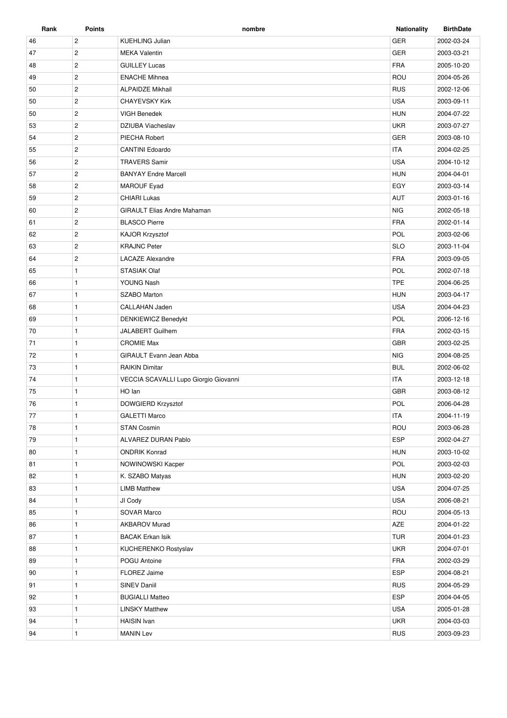| Rank | Points         | nombre                                | <b>Nationality</b> | <b>BirthDate</b> |
|------|----------------|---------------------------------------|--------------------|------------------|
| 46   | $\overline{c}$ | <b>KUEHLING Julian</b>                | <b>GER</b>         | 2002-03-24       |
| 47   | $\overline{2}$ | <b>MEKA Valentin</b>                  | <b>GER</b>         | 2003-03-21       |
| 48   | $\overline{c}$ | <b>GUILLEY Lucas</b>                  | <b>FRA</b>         | 2005-10-20       |
| 49   | $\overline{2}$ | <b>ENACHE Mihnea</b>                  | ROU                | 2004-05-26       |
| 50   | $\overline{2}$ | <b>ALPAIDZE Mikhail</b>               | <b>RUS</b>         | 2002-12-06       |
| 50   | $\overline{2}$ | <b>CHAYEVSKY Kirk</b>                 | <b>USA</b>         | 2003-09-11       |
| 50   | $\sqrt{2}$     | <b>VIGH Benedek</b>                   | <b>HUN</b>         | 2004-07-22       |
| 53   | $\overline{2}$ | DZIUBA Viacheslav                     | <b>UKR</b>         | 2003-07-27       |
| 54   | $\overline{2}$ | PIECHA Robert                         | <b>GER</b>         | 2003-08-10       |
| 55   | $\overline{c}$ | <b>CANTINI Edoardo</b>                | <b>ITA</b>         | 2004-02-25       |
| 56   | $\overline{2}$ | <b>TRAVERS Samir</b>                  | <b>USA</b>         | 2004-10-12       |
| 57   | $\overline{2}$ | <b>BANYAY Endre Marcell</b>           | <b>HUN</b>         | 2004-04-01       |
| 58   | $\overline{2}$ | <b>MAROUF Eyad</b>                    | EGY                | 2003-03-14       |
| 59   | $\overline{2}$ | <b>CHIARI Lukas</b>                   | AUT                | 2003-01-16       |
| 60   | $\overline{2}$ | <b>GIRAULT Elias Andre Mahaman</b>    | <b>NIG</b>         | 2002-05-18       |
| 61   | $\overline{2}$ | <b>BLASCO Pierre</b>                  | <b>FRA</b>         | 2002-01-14       |
| 62   | $\overline{2}$ | KAJOR Krzysztof                       | POL                | 2003-02-06       |
| 63   | $\overline{c}$ | <b>KRAJNC Peter</b>                   | <b>SLO</b>         | 2003-11-04       |
| 64   | $\overline{c}$ | <b>LACAZE Alexandre</b>               | <b>FRA</b>         | 2003-09-05       |
| 65   | $\mathbf{1}$   | <b>STASIAK Olaf</b>                   | POL                | 2002-07-18       |
| 66   | $\mathbf{1}$   | YOUNG Nash                            | <b>TPE</b>         | 2004-06-25       |
| 67   | $\mathbf{1}$   | <b>SZABO Marton</b>                   | <b>HUN</b>         | 2003-04-17       |
| 68   | $\mathbf{1}$   | CALLAHAN Jaden                        | <b>USA</b>         | 2004-04-23       |
| 69   | $\mathbf{1}$   | <b>DENKIEWICZ Benedykt</b>            | POL                | 2006-12-16       |
| 70   | $\mathbf{1}$   | JALABERT Guilhem                      | <b>FRA</b>         | 2002-03-15       |
| 71   | $\mathbf{1}$   | <b>CROMIE Max</b>                     | <b>GBR</b>         | 2003-02-25       |
| 72   | $\mathbf{1}$   | GIRAULT Evann Jean Abba               | <b>NIG</b>         | 2004-08-25       |
| 73   | $\mathbf{1}$   | <b>RAIKIN Dimitar</b>                 | <b>BUL</b>         | 2002-06-02       |
| 74   | $\mathbf{1}$   | VECCIA SCAVALLI Lupo Giorgio Giovanni | <b>ITA</b>         | 2003-12-18       |
| 75   | $\mathbf{1}$   | HO lan                                | <b>GBR</b>         | 2003-08-12       |
| 76   | $\mathbf{1}$   | DOWGIERD Krzysztof                    | POL                | 2006-04-28       |
| 77   | $\mathbf{1}$   | <b>GALETTI Marco</b>                  | <b>ITA</b>         | 2004-11-19       |
| 78   | $\mathbf{1}$   | <b>STAN Cosmin</b>                    | ROU                | 2003-06-28       |
| 79   | $\mathbf{1}$   | ALVAREZ DURAN Pablo                   | <b>ESP</b>         | 2002-04-27       |
| 80   | $\mathbf{1}$   | <b>ONDRIK Konrad</b>                  | <b>HUN</b>         | 2003-10-02       |
| 81   | $\mathbf{1}$   | NOWINOWSKI Kacper                     | POL                | 2003-02-03       |
| 82   | $\mathbf{1}$   | K. SZABO Matyas                       | <b>HUN</b>         | 2003-02-20       |
| 83   | $\mathbf{1}$   | <b>LIMB Matthew</b>                   | <b>USA</b>         | 2004-07-25       |
| 84   | $\mathbf{1}$   | JI Cody                               | <b>USA</b>         | 2006-08-21       |
| 85   | $\mathbf{1}$   | <b>SOVAR Marco</b>                    | ROU                | 2004-05-13       |
| 86   | $\mathbf{1}$   | <b>AKBAROV Murad</b>                  | AZE                | 2004-01-22       |
| 87   | $\mathbf{1}$   | <b>BACAK Erkan Isik</b>               | <b>TUR</b>         | 2004-01-23       |
| 88   | $\mathbf{1}$   | KUCHERENKO Rostyslav                  | <b>UKR</b>         | 2004-07-01       |
| 89   | $\mathbf{1}$   | POGU Antoine                          | FRA                | 2002-03-29       |
| 90   | 1              | FLOREZ Jaime                          | <b>ESP</b>         | 2004-08-21       |
| 91   | $\mathbf{1}$   | SINEV Daniil                          | <b>RUS</b>         | 2004-05-29       |
| 92   | $\mathbf{1}$   | <b>BUGIALLI Matteo</b>                | ESP                | 2004-04-05       |
| 93   | $\mathbf{1}$   | <b>LINSKY Matthew</b>                 | <b>USA</b>         | 2005-01-28       |
| 94   | 1              | <b>HAISIN</b> Ivan                    | <b>UKR</b>         | 2004-03-03       |
| 94   | 1              | <b>MANIN Lev</b>                      | <b>RUS</b>         | 2003-09-23       |
|      |                |                                       |                    |                  |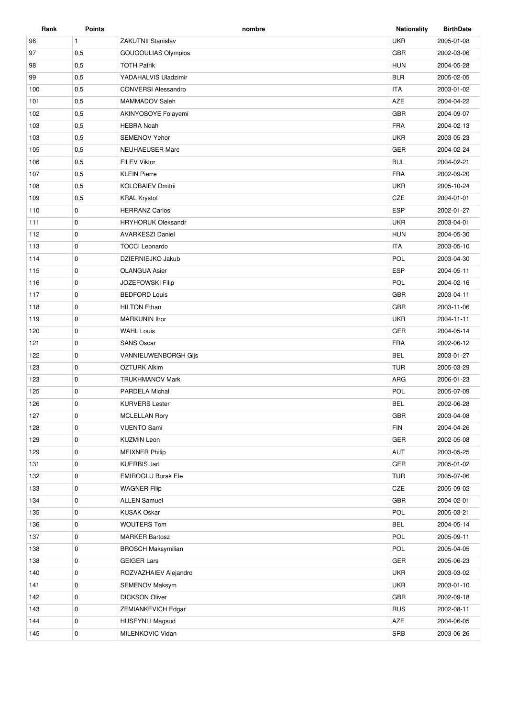| Rank | <b>Points</b> | nombre                      | <b>Nationality</b> | <b>BirthDate</b> |
|------|---------------|-----------------------------|--------------------|------------------|
| 96   | $\mathbf{1}$  | <b>ZAKUTNII Stanislav</b>   | <b>UKR</b>         | 2005-01-08       |
| 97   | 0,5           | <b>GOUGOULIAS Olympios</b>  | GBR                | 2002-03-06       |
| 98   | 0,5           | <b>TOTH Patrik</b>          | <b>HUN</b>         | 2004-05-28       |
| 99   | 0,5           | YADAHALVIS Uladzimir        | <b>BLR</b>         | 2005-02-05       |
| 100  | 0,5           | <b>CONVERSI Alessandro</b>  | <b>ITA</b>         | 2003-01-02       |
| 101  | 0,5           | MAMMADOV Saleh              | <b>AZE</b>         | 2004-04-22       |
| 102  | 0,5           | AKINYOSOYE Folayemi         | GBR                | 2004-09-07       |
| 103  | 0,5           | <b>HEBRA Noah</b>           | <b>FRA</b>         | 2004-02-13       |
| 103  | 0,5           | <b>SEMENOV Yehor</b>        | <b>UKR</b>         | 2003-05-23       |
| 105  | 0,5           | <b>NEUHAEUSER Marc</b>      | <b>GER</b>         | 2004-02-24       |
| 106  | 0,5           | <b>FILEV Viktor</b>         | <b>BUL</b>         | 2004-02-21       |
| 107  | 0,5           | <b>KLEIN Pierre</b>         | <b>FRA</b>         | 2002-09-20       |
| 108  | 0,5           | <b>KOLOBAIEV Dmitrii</b>    | <b>UKR</b>         | 2005-10-24       |
| 109  | 0,5           | <b>KRAL Krystof</b>         | CZE                | 2004-01-01       |
| 110  | $\mathbf 0$   | <b>HERRANZ Carlos</b>       | <b>ESP</b>         | 2002-01-27       |
| 111  | 0             | <b>HRYHORUK Oleksandr</b>   | <b>UKR</b>         | 2003-04-01       |
| 112  | $\mathbf 0$   | <b>AVARKESZI Daniel</b>     | <b>HUN</b>         | 2004-05-30       |
| 113  | $\mathbf 0$   | <b>TOCCI Leonardo</b>       | <b>ITA</b>         | 2003-05-10       |
| 114  | 0             | DZIERNIEJKO Jakub           | POL                | 2003-04-30       |
| 115  | $\mathbf 0$   | <b>OLANGUA Asier</b>        | <b>ESP</b>         | 2004-05-11       |
| 116  | $\mathbf 0$   | <b>JOZEFOWSKI Filip</b>     | POL                | 2004-02-16       |
| 117  | 0             | <b>BEDFORD Louis</b>        | <b>GBR</b>         | 2003-04-11       |
| 118  | $\mathbf 0$   | <b>HILTON Ethan</b>         | <b>GBR</b>         | 2003-11-06       |
| 119  | $\mathbf 0$   | <b>MARKUNIN Ihor</b>        | <b>UKR</b>         | 2004-11-11       |
| 120  | 0             | <b>WAHL Louis</b>           | <b>GER</b>         | 2004-05-14       |
| 121  | $\mathbf 0$   | <b>SANS Oscar</b>           | <b>FRA</b>         | 2002-06-12       |
| 122  | 0             | <b>VANNIEUWENBORGH Gijs</b> | <b>BEL</b>         | 2003-01-27       |
| 123  | $\mathbf 0$   | <b>OZTURK Alkim</b>         | <b>TUR</b>         | 2005-03-29       |
| 123  | $\mathbf 0$   | <b>TRUKHMANOV Mark</b>      | ARG                | 2006-01-23       |
| 125  | 0             | PARDELA Michal              | POL                | 2005-07-09       |
| 126  | $\mathbf 0$   | <b>KURVERS Lester</b>       | <b>BEL</b>         | 2002-06-28       |
| 127  | 0             | <b>MCLELLAN Rory</b>        | <b>GBR</b>         | 2003-04-08       |
| 128  | 0             | <b>VUENTO Sami</b>          | <b>FIN</b>         | 2004-04-26       |
| 129  | 0             | <b>KUZMIN Leon</b>          | GER                | 2002-05-08       |
| 129  | $\mathbf 0$   | <b>MEIXNER Philip</b>       | AUT                | 2003-05-25       |
| 131  | 0             | <b>KUERBIS Jarl</b>         | GER                | 2005-01-02       |
| 132  | 0             | <b>EMIROGLU Burak Efe</b>   | <b>TUR</b>         | 2005-07-06       |
| 133  | $\mathbf 0$   | <b>WAGNER Filip</b>         | CZE                | 2005-09-02       |
| 134  | $\mathbf 0$   | <b>ALLEN Samuel</b>         | <b>GBR</b>         | 2004-02-01       |
| 135  | 0             | <b>KUSAK Oskar</b>          | POL                | 2005-03-21       |
| 136  | 0             | <b>WOUTERS Tom</b>          | <b>BEL</b>         | 2004-05-14       |
| 137  | 0             | <b>MARKER Bartosz</b>       | POL                | 2005-09-11       |
| 138  | 0             | <b>BROSCH Maksymilian</b>   | POL                | 2005-04-05       |
| 138  | 0             | <b>GEIGER Lars</b>          | GER                | 2005-06-23       |
| 140  | $\mathbf 0$   | ROZVAZHAIEV Alejandro       | <b>UKR</b>         | 2003-03-02       |
| 141  | $\mathbf 0$   | SEMENOV Maksym              | <b>UKR</b>         | 2003-01-10       |
| 142  | 0             | <b>DICKSON Oliver</b>       | GBR                | 2002-09-18       |
| 143  | 0             | ZEMIANKEVICH Edgar          | <b>RUS</b>         | 2002-08-11       |
| 144  | 0             | <b>HUSEYNLI Magsud</b>      | AZE                | 2004-06-05       |
| 145  | $\mathbf 0$   | MILENKOVIC Vidan            | SRB                | 2003-06-26       |
|      |               |                             |                    |                  |